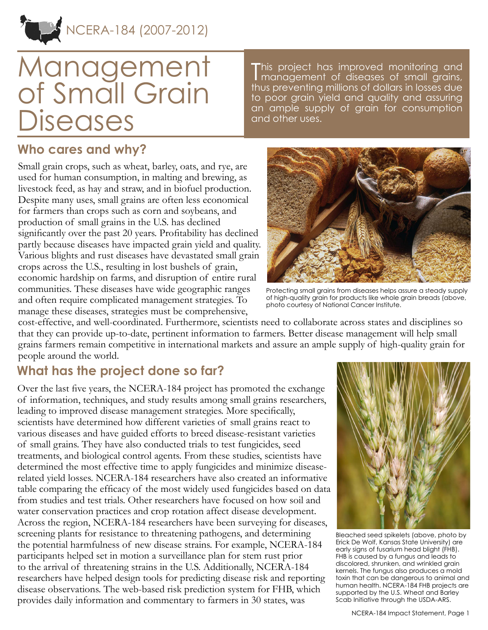

# Management of Small Grain **Diseases**

This project has improved monitoring and<br>I management of diseases of small grains, management of diseases of small grains, thus preventing millions of dollars in losses due to poor grain yield and quality and assuring an ample supply of grain for consumption and other uses.

#### **Who cares and why?**

Small grain crops, such as wheat, barley, oats, and rye, are used for human consumption, in malting and brewing, as livestock feed, as hay and straw, and in biofuel production. Despite many uses, small grains are often less economical for farmers than crops such as corn and soybeans, and production of small grains in the U.S. has declined significantly over the past 20 years. Profitability has declined partly because diseases have impacted grain yield and quality. Various blights and rust diseases have devastated small grain crops across the U.S., resulting in lost bushels of grain, economic hardship on farms, and disruption of entire rural communities. These diseases have wide geographic ranges and often require complicated management strategies. To manage these diseases, strategies must be comprehensive,



Protecting small grains from diseases helps assure a steady supply of high-quality grain for products like whole grain breads (above, photo courtesy of National Cancer Institute.

cost-effective, and well-coordinated. Furthermore, scientists need to collaborate across states and disciplines so that they can provide up-to-date, pertinent information to farmers. Better disease management will help small grains farmers remain competitive in international markets and assure an ample supply of high-quality grain for people around the world.

## **What has the project done so far?**

Over the last five years, the NCERA-184 project has promoted the exchange of information, techniques, and study results among small grains researchers, leading to improved disease management strategies. More specifically, scientists have determined how different varieties of small grains react to various diseases and have guided efforts to breed disease-resistant varieties of small grains. They have also conducted trials to test fungicides, seed treatments, and biological control agents. From these studies, scientists have determined the most effective time to apply fungicides and minimize diseaserelated yield losses. NCERA-184 researchers have also created an informative table comparing the efficacy of the most widely used fungicides based on data from studies and test trials. Other researchers have focused on how soil and water conservation practices and crop rotation affect disease development. Across the region, NCERA-184 researchers have been surveying for diseases, screening plants for resistance to threatening pathogens, and determining the potential harmfulness of new disease strains. For example, NCERA-184 participants helped set in motion a surveillance plan for stem rust prior to the arrival of threatening strains in the U.S. Additionally, NCERA-184 researchers have helped design tools for predicting disease risk and reporting disease observations. The web-based risk prediction system for FHB, which provides daily information and commentary to farmers in 30 states, was



Bleached seed spikelets (above, photo by Erick De Wolf, Kansas State University) are early signs of fusarium head blight (FHB). FHB is caused by a fungus and leads to discolored, shrunken, and wrinkled grain kernels. The fungus also produces a mold toxin that can be dangerous to animal and human health. NCERA-184 FHB projects are supported by the U.S. Wheat and Barley Scab Initiative through the USDA-ARS.